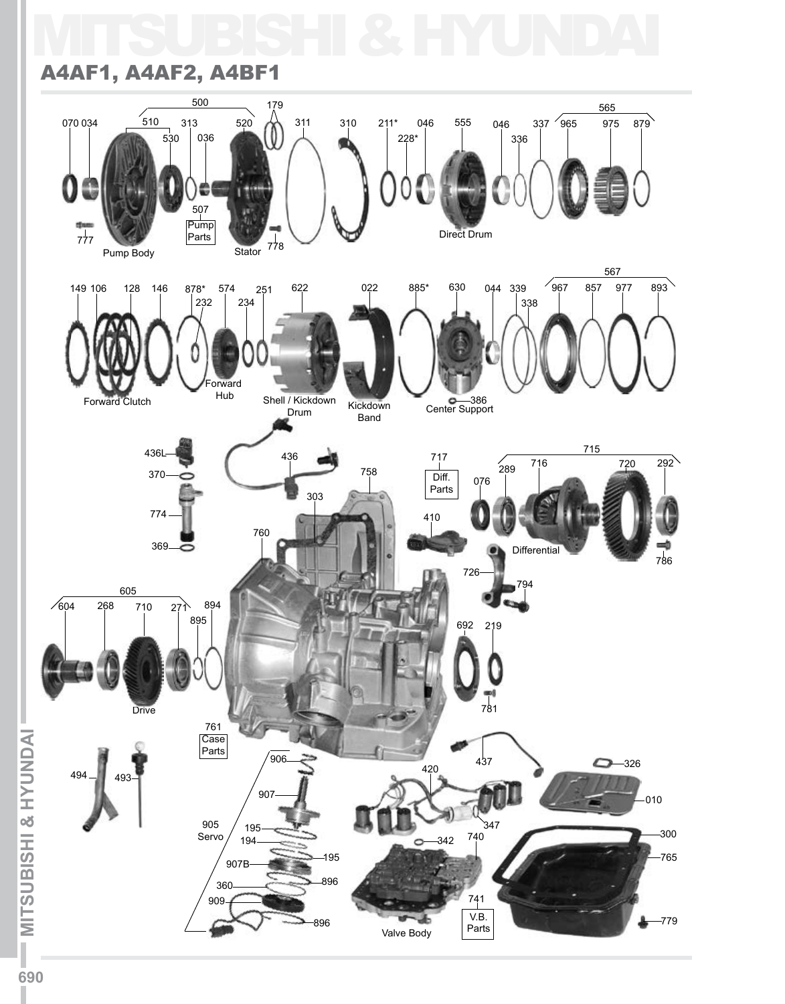## MITSUBISHI & HYUNDAI